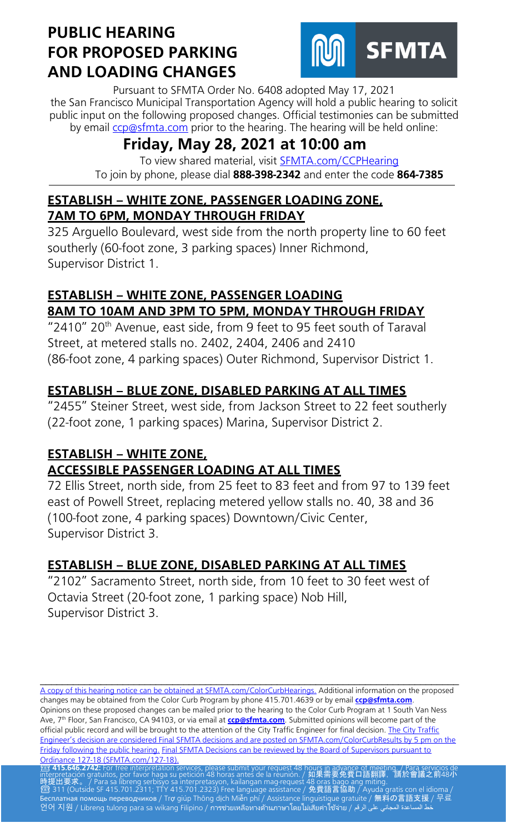

Pursuant to SFMTA Order No. 6408 adopted May 17, 2021 the San Francisco Municipal Transportation Agency will hold a public hearing to solicit public input on the following proposed changes. Official testimonies can be submitted by email [ccp@sfmta.com](mailto:ccp@sfmta.com) prior to the hearing. The hearing will be held online:

# **Friday, May 28, 2021 at 10:00 am**

To view shared material, visit [SFMTA.com/CCPHearing](https://meet.sfmta.com/meetings/VQN4VLH3) To join by phone, please dial **888-398-2342** and enter the code **864-7385**

#### **ESTABLISH – WHITE ZONE, PASSENGER LOADING ZONE, 7AM TO 6PM, MONDAY THROUGH FRIDAY**

325 Arguello Boulevard, west side from the north property line to 60 feet southerly (60-foot zone, 3 parking spaces) Inner Richmond, Supervisor District 1.

## **ESTABLISH – WHITE ZONE, PASSENGER LOADING 8AM TO 10AM AND 3PM TO 5PM, MONDAY THROUGH FRIDAY**

"2410" 20<sup>th</sup> Avenue, east side, from 9 feet to 95 feet south of Taraval Street, at metered stalls no. 2402, 2404, 2406 and 2410 (86-foot zone, 4 parking spaces) Outer Richmond, Supervisor District 1.

## **ESTABLISH – BLUE ZONE, DISABLED PARKING AT ALL TIMES**

"2455" Steiner Street, west side, from Jackson Street to 22 feet southerly (22-foot zone, 1 parking spaces) Marina, Supervisor District 2.

## **ESTABLISH – WHITE ZONE,**

## **ACCESSIBLE PASSENGER LOADING AT ALL TIMES**

72 Ellis Street, north side, from 25 feet to 83 feet and from 97 to 139 feet east of Powell Street, replacing metered yellow stalls no. 40, 38 and 36 (100-foot zone, 4 parking spaces) Downtown/Civic Center, Supervisor District 3.

## **ESTABLISH – BLUE ZONE, DISABLED PARKING AT ALL TIMES**

"2102" Sacramento Street, north side, from 10 feet to 30 feet west of Octavia Street (20-foot zone, 1 parking space) Nob Hill, Supervisor District 3.

[A copy of this hearing notice can be obtained at SFMTA.com/ColorCurbHearings.](http://www.sfmta.com/ColorCurbHearings) Additional information on the proposed changes may be obtained from the Color Curb Program by phone 415.701.4639 or by email **[ccp@sfmta.com](mailto:ccp@sfmta.com)**. Opinions on these proposed changes can be mailed prior to the hearing to the Color Curb Program at 1 South Van Ness Ave, 7 th Floor, San Francisco, CA 94103, or via email at **[ccp@sfmta.com](mailto:ccp@sfmta.com)**. Submitted opinions will become part of the official public record and will be brought to the attention of the City Traffic Engineer for final decision. The City Traffic [Engineer's decision are considered Final SFMTA decisions and are posted on SFMTA.com/ColorCurbResults by 5 pm on the](http://www.sfmta.com/ColorCurbResults)  [Friday following the public hearing.](http://www.sfmta.com/ColorCurbResults) [Final SFMTA Decisions can be reviewed by the Board of Supervisors pursuant to](https://sfbos.org/sites/default/files/o0127-18.pdf) Ordinance 127-18 (SFMTA.com/127-18). [Ordinance 127-18 \(SFMTA.com/127-18\).](https://sfbos.org/sites/default/files/o0127-18.pdf)<br><mark>23 415.646.2742:</mark> For free interpretation services, please submit your request 48 hou<u>rs in advance of meet</u>ing. / Para servicios de

\_\_\_\_\_\_\_\_\_\_\_\_\_\_\_\_\_\_\_\_\_\_\_\_\_\_\_\_\_\_\_\_\_\_\_\_\_\_\_\_\_\_\_\_\_\_\_\_\_\_\_\_\_\_\_\_\_\_\_\_\_\_\_\_\_\_\_\_\_\_\_\_\_\_\_\_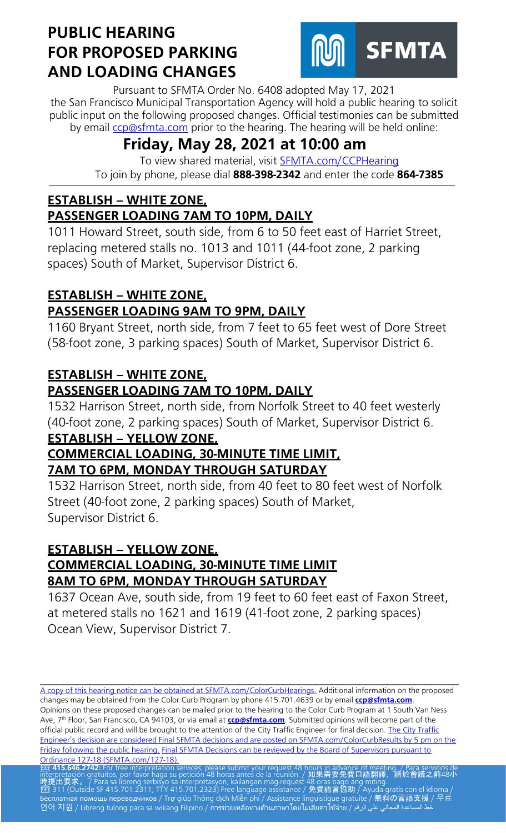

Pursuant to SFMTA Order No. 6408 adopted May 17, 2021 the San Francisco Municipal Transportation Agency will hold a public hearing to solicit public input on the following proposed changes. Official testimonies can be submitted by email [ccp@sfmta.com](mailto:ccp@sfmta.com) prior to the hearing. The hearing will be held online:

# **Friday, May 28, 2021 at 10:00 am**

To view shared material, visit [SFMTA.com/CCPHearing](https://meet.sfmta.com/meetings/VQN4VLH3) To join by phone, please dial **888-398-2342** and enter the code **864-7385**

#### **ESTABLISH – WHITE ZONE, PASSENGER LOADING 7AM TO 10PM, DAILY**

1011 Howard Street, south side, from 6 to 50 feet east of Harriet Street, replacing metered stalls no. 1013 and 1011 (44-foot zone, 2 parking spaces) South of Market, Supervisor District 6.

#### **ESTABLISH – WHITE ZONE, PASSENGER LOADING 9AM TO 9PM, DAILY**

1160 Bryant Street, north side, from 7 feet to 65 feet west of Dore Street (58-foot zone, 3 parking spaces) South of Market, Supervisor District 6.

### **ESTABLISH – WHITE ZONE, PASSENGER LOADING 7AM TO 10PM, DAILY**

1532 Harrison Street, north side, from Norfolk Street to 40 feet westerly (40-foot zone, 2 parking spaces) South of Market, Supervisor District 6. **ESTABLISH – YELLOW ZONE,** 

#### **COMMERCIAL LOADING, 30-MINUTE TIME LIMIT, 7AM TO 6PM, MONDAY THROUGH SATURDAY**

1532 Harrison Street, north side, from 40 feet to 80 feet west of Norfolk Street (40-foot zone, 2 parking spaces) South of Market, Supervisor District 6.

#### **ESTABLISH – YELLOW ZONE, COMMERCIAL LOADING, 30-MINUTE TIME LIMIT 8AM TO 6PM, MONDAY THROUGH SATURDAY**

1637 Ocean Ave, south side, from 19 feet to 60 feet east of Faxon Street, at metered stalls no 1621 and 1619 (41-foot zone, 2 parking spaces) Ocean View, Supervisor District 7.

\_\_\_\_\_\_\_\_\_\_\_\_\_\_\_\_\_\_\_\_\_\_\_\_\_\_\_\_\_\_\_\_\_\_\_\_\_\_\_\_\_\_\_\_\_\_\_\_\_\_\_\_\_\_\_\_\_\_\_\_\_\_\_\_\_\_\_\_\_\_\_\_\_\_\_\_ [A copy of this hearing notice can be obtained at SFMTA.com/ColorCurbHearings.](http://www.sfmta.com/ColorCurbHearings) Additional information on the proposed changes may be obtained from the Color Curb Program by phone 415.701.4639 or by email **[ccp@sfmta.com](mailto:ccp@sfmta.com)**. Opinions on these proposed changes can be mailed prior to the hearing to the Color Curb Program at 1 South Van Ness Ave, 7 th Floor, San Francisco, CA 94103, or via email at **[ccp@sfmta.com](mailto:ccp@sfmta.com)**. Submitted opinions will become part of the official public record and will be brought to the attention of the City Traffic Engineer for final decision. The City Traffic [Engineer's decision are considered Final SFMTA decisions and are posted on SFMTA.com/ColorCurbResults by 5 pm on the](http://www.sfmta.com/ColorCurbResults)  [Friday following the public hearing.](http://www.sfmta.com/ColorCurbResults) [Final SFMTA Decisions can be reviewed by the Board of Supervisors pursuant to](https://sfbos.org/sites/default/files/o0127-18.pdf) Ordinance 127-18 (SFMTA.com/127-18). [Ordinance 127-18 \(SFMTA.com/127-18\).](https://sfbos.org/sites/default/files/o0127-18.pdf)<br><mark>23 415.646.2742:</mark> For free interpretation services, please submit your request 48 hou<u>rs in advance of meet</u>ing. / Para servicios de

interpretación gratuitos, por favor haga su petición 48 horas antes de la reunión. / 如果需要免費口語翻譯,請於會議之前48小 時提出要求。 / Para sa libreng serbisyo sa interpretasyon, kailangan mag-request 48 oras bago ang miting.<br>2 311 (Outside SF 415.701.2311; TTY 415.701.2323) Free language assistance / 免費語言協助 / Ayuda gratis con el idioma / Бесплатная помощь переводчиков / Trợ giúp Thông dịch Miễn phí / Assistance linguistique gratuite / 無料の言語支援 / 무료 언어 지원 / Libreng tulong para sa wikang Filipino / การช่วยเหลือทางด้านภาษาโดยไม่เสียค่าใช้จ่าย / علا المساعدة المجاني على الرقم /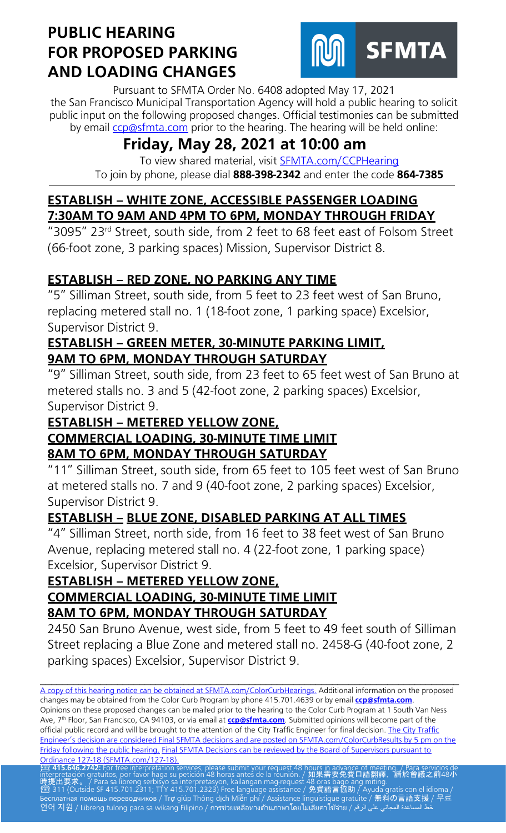

Pursuant to SFMTA Order No. 6408 adopted May 17, 2021 the San Francisco Municipal Transportation Agency will hold a public hearing to solicit public input on the following proposed changes. Official testimonies can be submitted by email [ccp@sfmta.com](mailto:ccp@sfmta.com) prior to the hearing. The hearing will be held online:

# **Friday, May 28, 2021 at 10:00 am**

To view shared material, visit [SFMTA.com/CCPHearing](https://meet.sfmta.com/meetings/VQN4VLH3) To join by phone, please dial **888-398-2342** and enter the code **864-7385**

## **ESTABLISH – WHITE ZONE, ACCESSIBLE PASSENGER LOADING 7:30AM TO 9AM AND 4PM TO 6PM, MONDAY THROUGH FRIDAY**

"3095" 23rd Street, south side, from 2 feet to 68 feet east of Folsom Street (66-foot zone, 3 parking spaces) Mission, Supervisor District 8.

## **ESTABLISH – RED ZONE, NO PARKING ANY TIME**

"5" Silliman Street, south side, from 5 feet to 23 feet west of San Bruno, replacing metered stall no. 1 (18-foot zone, 1 parking space) Excelsior, Supervisor District 9.

#### **ESTABLISH – GREEN METER, 30-MINUTE PARKING LIMIT, 9AM TO 6PM, MONDAY THROUGH SATURDAY**

"9" Silliman Street, south side, from 23 feet to 65 feet west of San Bruno at metered stalls no. 3 and 5 (42-foot zone, 2 parking spaces) Excelsior, Supervisor District 9.

#### **ESTABLISH – METERED YELLOW ZONE, COMMERCIAL LOADING, 30-MINUTE TIME LIMIT 8AM TO 6PM, MONDAY THROUGH SATURDAY**

"11" Silliman Street, south side, from 65 feet to 105 feet west of San Bruno at metered stalls no. 7 and 9 (40-foot zone, 2 parking spaces) Excelsior, Supervisor District 9.

## **ESTABLISH – BLUE ZONE, DISABLED PARKING AT ALL TIMES**

"4" Silliman Street, north side, from 16 feet to 38 feet west of San Bruno Avenue, replacing metered stall no. 4 (22-foot zone, 1 parking space) Excelsior, Supervisor District 9.

#### **ESTABLISH – METERED YELLOW ZONE, COMMERCIAL LOADING, 30-MINUTE TIME LIMIT 8AM TO 6PM, MONDAY THROUGH SATURDAY**

2450 San Bruno Avenue, west side, from 5 feet to 49 feet south of Silliman Street replacing a Blue Zone and metered stall no. 2458-G (40-foot zone, 2 parking spaces) Excelsior, Supervisor District 9.

\_\_\_\_\_\_\_\_\_\_\_\_\_\_\_\_\_\_\_\_\_\_\_\_\_\_\_\_\_\_\_\_\_\_\_\_\_\_\_\_\_\_\_\_\_\_\_\_\_\_\_\_\_\_\_\_\_\_\_\_\_\_\_\_\_\_\_\_\_\_\_\_\_\_\_\_ [A copy of this hearing notice can be obtained at SFMTA.com/ColorCurbHearings.](http://www.sfmta.com/ColorCurbHearings) Additional information on the proposed changes may be obtained from the Color Curb Program by phone 415.701.4639 or by email **[ccp@sfmta.com](mailto:ccp@sfmta.com)**. Opinions on these proposed changes can be mailed prior to the hearing to the Color Curb Program at 1 South Van Ness Ave, 7 th Floor, San Francisco, CA 94103, or via email at **[ccp@sfmta.com](mailto:ccp@sfmta.com)**. Submitted opinions will become part of the official public record and will be brought to the attention of the City Traffic Engineer for final decision. The City Traffic [Engineer's decision are considered Final SFMTA decisions and are posted on SFMTA.com/ColorCurbResults by 5 pm on the](http://www.sfmta.com/ColorCurbResults)  [Friday following the public hearing.](http://www.sfmta.com/ColorCurbResults) [Final SFMTA Decisions can be reviewed by the Board of Supervisors pursuant to](https://sfbos.org/sites/default/files/o0127-18.pdf) Ordinance 127-18 (SFMTA.com/127-18). [Ordinance 127-18 \(SFMTA.com/127-18\).](https://sfbos.org/sites/default/files/o0127-18.pdf)<br><mark>23 415.646.2742:</mark> For free interpretation services, please submit your request 48 hou<u>rs in advance of meet</u>ing. / Para servicios de

interpretación gratuitos, por favor haga su petición 48 horas antes de la reunión. / 如果需要免費口語翻譯,請於會議之前48小 時提出要求。 / Para sa libreng serbisyo sa interpretasyon, kailangan mag-request 48 oras bago ang miting.<br>2 311 (Outside SF 415.701.2311; TTY 415.701.2323) Free language assistance / 免費語言協助 / Ayuda gratis con el idioma / Бесплатная помощь переводчиков / Trợ giúp Thông dịch Miễn phí / Assistance linguistique gratuite / 無料の言語支援 / 무료 언어 지원 / Libreng tulong para sa wikang Filipino / การช่วยเหลือทางด้านภาษาโดยไม่เสียค่าใช้จ่าย / علا المساعدة المجاني على الرقم / 아 지원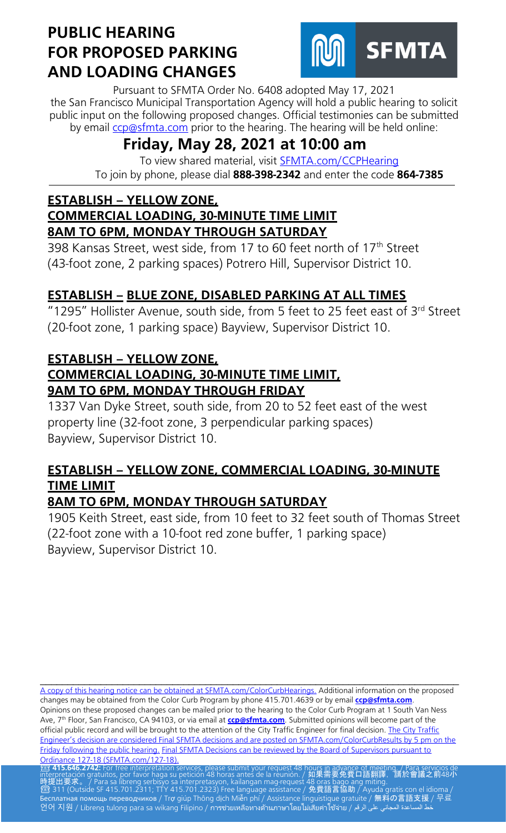

Pursuant to SFMTA Order No. 6408 adopted May 17, 2021 the San Francisco Municipal Transportation Agency will hold a public hearing to solicit public input on the following proposed changes. Official testimonies can be submitted by email [ccp@sfmta.com](mailto:ccp@sfmta.com) prior to the hearing. The hearing will be held online:

# **Friday, May 28, 2021 at 10:00 am**

To view shared material, visit [SFMTA.com/CCPHearing](https://meet.sfmta.com/meetings/VQN4VLH3) To join by phone, please dial **888-398-2342** and enter the code **864-7385**

#### **ESTABLISH – YELLOW ZONE, COMMERCIAL LOADING, 30-MINUTE TIME LIMIT 8AM TO 6PM, MONDAY THROUGH SATURDAY**

398 Kansas Street, west side, from 17 to 60 feet north of 17<sup>th</sup> Street (43-foot zone, 2 parking spaces) Potrero Hill, Supervisor District 10.

## **ESTABLISH – BLUE ZONE, DISABLED PARKING AT ALL TIMES**

"1295" Hollister Avenue, south side, from 5 feet to 25 feet east of 3rd Street (20-foot zone, 1 parking space) Bayview, Supervisor District 10.

### **ESTABLISH – YELLOW ZONE,**

#### **COMMERCIAL LOADING, 30-MINUTE TIME LIMIT, 9AM TO 6PM, MONDAY THROUGH FRIDAY**

1337 Van Dyke Street, south side, from 20 to 52 feet east of the west property line (32-foot zone, 3 perpendicular parking spaces) Bayview, Supervisor District 10.

## **ESTABLISH – YELLOW ZONE, COMMERCIAL LOADING, 30-MINUTE TIME LIMIT**

## **8AM TO 6PM, MONDAY THROUGH SATURDAY**

1905 Keith Street, east side, from 10 feet to 32 feet south of Thomas Street (22-foot zone with a 10-foot red zone buffer, 1 parking space) Bayview, Supervisor District 10.

[A copy of this hearing notice can be obtained at SFMTA.com/ColorCurbHearings.](http://www.sfmta.com/ColorCurbHearings) Additional information on the proposed changes may be obtained from the Color Curb Program by phone 415.701.4639 or by email **[ccp@sfmta.com](mailto:ccp@sfmta.com)**. Opinions on these proposed changes can be mailed prior to the hearing to the Color Curb Program at 1 South Van Ness Ave, 7 th Floor, San Francisco, CA 94103, or via email at **[ccp@sfmta.com](mailto:ccp@sfmta.com)**. Submitted opinions will become part of the official public record and will be brought to the attention of the City Traffic Engineer for final decision. The City Traffic [Engineer's decision are considered Final SFMTA decisions and are posted on SFMTA.com/ColorCurbResults by 5 pm on the](http://www.sfmta.com/ColorCurbResults)  [Friday following the public hearing.](http://www.sfmta.com/ColorCurbResults) [Final SFMTA Decisions can be reviewed by the Board of Supervisors pursuant to](https://sfbos.org/sites/default/files/o0127-18.pdf) Ordinance 127-18 (SFMTA.com/127-18). [Ordinance 127-18 \(SFMTA.com/127-18\).](https://sfbos.org/sites/default/files/o0127-18.pdf)<br><mark>23 415.646.2742:</mark> For free interpretation services, please submit your request 48 hou<u>rs in advance of meet</u>ing. / Para servicios de

\_\_\_\_\_\_\_\_\_\_\_\_\_\_\_\_\_\_\_\_\_\_\_\_\_\_\_\_\_\_\_\_\_\_\_\_\_\_\_\_\_\_\_\_\_\_\_\_\_\_\_\_\_\_\_\_\_\_\_\_\_\_\_\_\_\_\_\_\_\_\_\_\_\_\_\_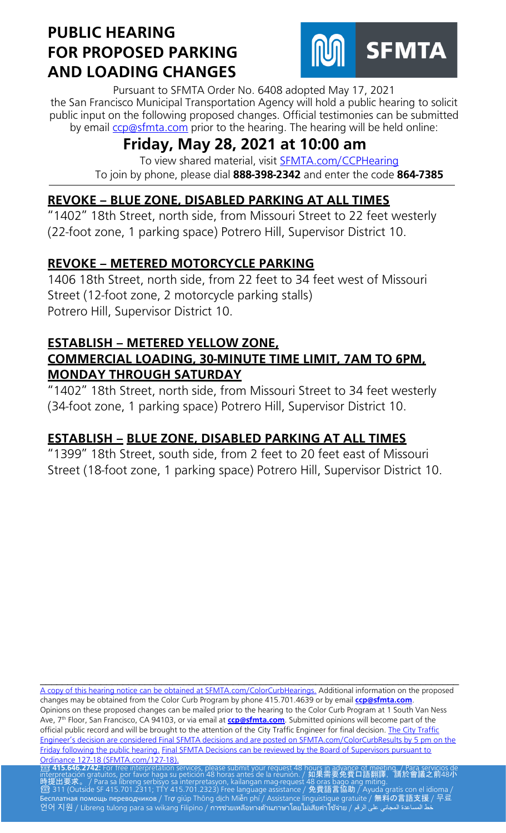

Pursuant to SFMTA Order No. 6408 adopted May 17, 2021 the San Francisco Municipal Transportation Agency will hold a public hearing to solicit public input on the following proposed changes. Official testimonies can be submitted by email [ccp@sfmta.com](mailto:ccp@sfmta.com) prior to the hearing. The hearing will be held online:

# **Friday, May 28, 2021 at 10:00 am**

To view shared material, visit [SFMTA.com/CCPHearing](https://meet.sfmta.com/meetings/VQN4VLH3) To join by phone, please dial **888-398-2342** and enter the code **864-7385**

## **REVOKE – BLUE ZONE, DISABLED PARKING AT ALL TIMES**

"1402" 18th Street, north side, from Missouri Street to 22 feet westerly (22-foot zone, 1 parking space) Potrero Hill, Supervisor District 10.

### **REVOKE – METERED MOTORCYCLE PARKING**

1406 18th Street, north side, from 22 feet to 34 feet west of Missouri Street (12-foot zone, 2 motorcycle parking stalls) Potrero Hill, Supervisor District 10.

#### **ESTABLISH – METERED YELLOW ZONE, COMMERCIAL LOADING, 30-MINUTE TIME LIMIT, 7AM TO 6PM, MONDAY THROUGH SATURDAY**

"1402" 18th Street, north side, from Missouri Street to 34 feet westerly (34-foot zone, 1 parking space) Potrero Hill, Supervisor District 10.

## **ESTABLISH – BLUE ZONE, DISABLED PARKING AT ALL TIMES**

"1399" 18th Street, south side, from 2 feet to 20 feet east of Missouri Street (18-foot zone, 1 parking space) Potrero Hill, Supervisor District 10.

[A copy of this hearing notice can be obtained at SFMTA.com/ColorCurbHearings.](http://www.sfmta.com/ColorCurbHearings) Additional information on the proposed changes may be obtained from the Color Curb Program by phone 415.701.4639 or by email **[ccp@sfmta.com](mailto:ccp@sfmta.com)**. Opinions on these proposed changes can be mailed prior to the hearing to the Color Curb Program at 1 South Van Ness Ave, 7 th Floor, San Francisco, CA 94103, or via email at **[ccp@sfmta.com](mailto:ccp@sfmta.com)**. Submitted opinions will become part of the official public record and will be brought to the attention of the City Traffic Engineer for final decision. The City Traffic [Engineer's decision are considered Final SFMTA decisions and are posted on SFMTA.com/ColorCurbResults by 5 pm on the](http://www.sfmta.com/ColorCurbResults)  [Friday following the public hearing.](http://www.sfmta.com/ColorCurbResults) [Final SFMTA Decisions can be reviewed by the Board of Supervisors pursuant to](https://sfbos.org/sites/default/files/o0127-18.pdf) Ordinance 127-18 (SFMTA.com/127-18). [Ordinance 127-18 \(SFMTA.com/127-18\).](https://sfbos.org/sites/default/files/o0127-18.pdf)<br><mark>23 415.646.2742:</mark> For free interpretation services, please submit your request 48 hou<u>rs in advance of meet</u>ing. / Para servicios de

\_\_\_\_\_\_\_\_\_\_\_\_\_\_\_\_\_\_\_\_\_\_\_\_\_\_\_\_\_\_\_\_\_\_\_\_\_\_\_\_\_\_\_\_\_\_\_\_\_\_\_\_\_\_\_\_\_\_\_\_\_\_\_\_\_\_\_\_\_\_\_\_\_\_\_\_

interpretación gratuitos, por favor haga su petición 48 horas antes de la reunión. / 如果需要免費口語翻譯,請於會議之前48小 時提出要求。 / Para sa libreng serbisyo sa interpretasyon, kailangan mag-request 48 oras bago ang miting.<br>2 311 (Outside SF 415.701.2311; TTY 415.701.2323) Free language assistance / 免費語言協助 / Ayuda gratis con el idioma / Бесплатная помощь переводчиков / Trợ giúp Thông dịch Miễn phí / Assistance linguistique gratuite / 無料の言語支援 / 무료 언어 지원 / Libreng tulong para sa wikang Filipino / การช่วยเหลือทางด้านภาษาโดยไม่เสียค่าใช้จ่าย / على الرقم / طح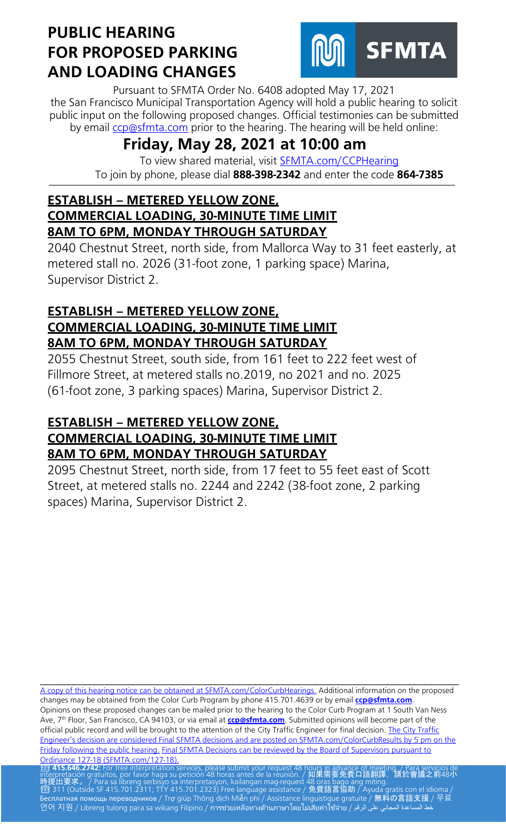

Pursuant to SFMTA Order No. 6408 adopted May 17, 2021 the San Francisco Municipal Transportation Agency will hold a public hearing to solicit public input on the following proposed changes. Official testimonies can be submitted by email [ccp@sfmta.com](mailto:ccp@sfmta.com) prior to the hearing. The hearing will be held online:

# **Friday, May 28, 2021 at 10:00 am**

To view shared material, visit [SFMTA.com/CCPHearing](https://meet.sfmta.com/meetings/VQN4VLH3) To join by phone, please dial **888-398-2342** and enter the code **864-7385**

#### **ESTABLISH – METERED YELLOW ZONE, COMMERCIAL LOADING, 30-MINUTE TIME LIMIT 8AM TO 6PM, MONDAY THROUGH SATURDAY**

2040 Chestnut Street, north side, from Mallorca Way to 31 feet easterly, at metered stall no. 2026 (31-foot zone, 1 parking space) Marina, Supervisor District 2.

### **ESTABLISH – METERED YELLOW ZONE, COMMERCIAL LOADING, 30-MINUTE TIME LIMIT 8AM TO 6PM, MONDAY THROUGH SATURDAY**

2055 Chestnut Street, south side, from 161 feet to 222 feet west of Fillmore Street, at metered stalls no.2019, no 2021 and no. 2025 (61-foot zone, 3 parking spaces) Marina, Supervisor District 2.

#### **ESTABLISH – METERED YELLOW ZONE, COMMERCIAL LOADING, 30-MINUTE TIME LIMIT 8AM TO 6PM, MONDAY THROUGH SATURDAY**

2095 Chestnut Street, north side, from 17 feet to 55 feet east of Scott Street, at metered stalls no. 2244 and 2242 (38-foot zone, 2 parking spaces) Marina, Supervisor District 2.

\_\_\_\_\_\_\_\_\_\_\_\_\_\_\_\_\_\_\_\_\_\_\_\_\_\_\_\_\_\_\_\_\_\_\_\_\_\_\_\_\_\_\_\_\_\_\_\_\_\_\_\_\_\_\_\_\_\_\_\_\_\_\_\_\_\_\_\_\_\_\_\_\_\_\_\_ [A copy of this hearing notice can be obtained at SFMTA.com/ColorCurbHearings.](http://www.sfmta.com/ColorCurbHearings) Additional information on the proposed changes may be obtained from the Color Curb Program by phone 415.701.4639 or by email **[ccp@sfmta.com](mailto:ccp@sfmta.com)**. Opinions on these proposed changes can be mailed prior to the hearing to the Color Curb Program at 1 South Van Ness Ave, 7 th Floor, San Francisco, CA 94103, or via email at **[ccp@sfmta.com](mailto:ccp@sfmta.com)**. Submitted opinions will become part of the official public record and will be brought to the attention of the City Traffic Engineer for final decision. The City Traffic [Engineer's decision are considered Final SFMTA decisions and are posted on SFMTA.com/ColorCurbResults by 5 pm on the](http://www.sfmta.com/ColorCurbResults)  [Friday following the public hearing.](http://www.sfmta.com/ColorCurbResults) [Final SFMTA Decisions can be reviewed by the Board of Supervisors pursuant to](https://sfbos.org/sites/default/files/o0127-18.pdf) Ordinance 127-18 (SFMTA.com/127-18). [Ordinance 127-18 \(SFMTA.com/127-18\).](https://sfbos.org/sites/default/files/o0127-18.pdf)<br><mark>23 415.646.2742:</mark> For free interpretation services, please submit your request 48 hou<u>rs in advance of meet</u>ing. / Para servicios de

interpretación gratuitos, por favor haga su petición 48 horas antes de la reunión. / 如果需要免費口語翻譯,請於會議之前48小 時提出要求。 / Para sa libreng serbisyo sa interpretasyon, kailangan mag-request 48 oras bago ang miting.<br>2 311 (Outside SF 415.701.2311; TTY 415.701.2323) Free language assistance / 免費語言協助 / Ayuda gratis con el idioma / Бесплатная помощь переводчиков / Trợ giúp Thông dịch Miễn phí / Assistance linguistique gratuite / 無料の言語支援 / 무료 언어 지원 / Libreng tulong para sa wikang Filipino / การช่วยเหลือทางด้านภาษาโดยไม่เสียค่าใช้จ่าย / على الرقم / المجاني على الرقم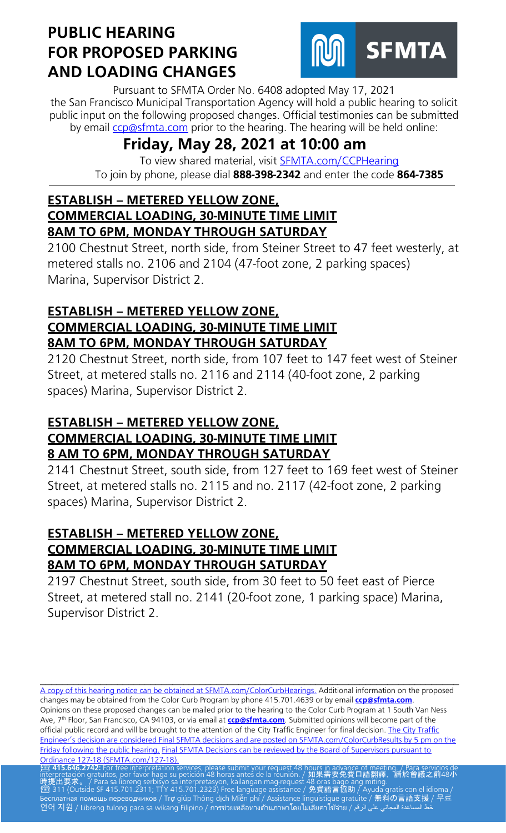

Pursuant to SFMTA Order No. 6408 adopted May 17, 2021 the San Francisco Municipal Transportation Agency will hold a public hearing to solicit public input on the following proposed changes. Official testimonies can be submitted by email [ccp@sfmta.com](mailto:ccp@sfmta.com) prior to the hearing. The hearing will be held online:

# **Friday, May 28, 2021 at 10:00 am**

To view shared material, visit [SFMTA.com/CCPHearing](https://meet.sfmta.com/meetings/VQN4VLH3) To join by phone, please dial **888-398-2342** and enter the code **864-7385**

#### **ESTABLISH – METERED YELLOW ZONE, COMMERCIAL LOADING, 30-MINUTE TIME LIMIT 8AM TO 6PM, MONDAY THROUGH SATURDAY**

2100 Chestnut Street, north side, from Steiner Street to 47 feet westerly, at metered stalls no. 2106 and 2104 (47-foot zone, 2 parking spaces) Marina, Supervisor District 2.

## **ESTABLISH – METERED YELLOW ZONE, COMMERCIAL LOADING, 30-MINUTE TIME LIMIT 8AM TO 6PM, MONDAY THROUGH SATURDAY**

2120 Chestnut Street, north side, from 107 feet to 147 feet west of Steiner Street, at metered stalls no. 2116 and 2114 (40-foot zone, 2 parking spaces) Marina, Supervisor District 2.

#### **ESTABLISH – METERED YELLOW ZONE, COMMERCIAL LOADING, 30-MINUTE TIME LIMIT 8 AM TO 6PM, MONDAY THROUGH SATURDAY**

2141 Chestnut Street, south side, from 127 feet to 169 feet west of Steiner Street, at metered stalls no. 2115 and no. 2117 (42-foot zone, 2 parking spaces) Marina, Supervisor District 2.

#### **ESTABLISH – METERED YELLOW ZONE, COMMERCIAL LOADING, 30-MINUTE TIME LIMIT 8AM TO 6PM, MONDAY THROUGH SATURDAY**

2197 Chestnut Street, south side, from 30 feet to 50 feet east of Pierce Street, at metered stall no. 2141 (20-foot zone, 1 parking space) Marina, Supervisor District 2.

\_\_\_\_\_\_\_\_\_\_\_\_\_\_\_\_\_\_\_\_\_\_\_\_\_\_\_\_\_\_\_\_\_\_\_\_\_\_\_\_\_\_\_\_\_\_\_\_\_\_\_\_\_\_\_\_\_\_\_\_\_\_\_\_\_\_\_\_\_\_\_\_\_\_\_\_ [A copy of this hearing notice can be obtained at SFMTA.com/ColorCurbHearings.](http://www.sfmta.com/ColorCurbHearings) Additional information on the proposed changes may be obtained from the Color Curb Program by phone 415.701.4639 or by email **[ccp@sfmta.com](mailto:ccp@sfmta.com)**. Opinions on these proposed changes can be mailed prior to the hearing to the Color Curb Program at 1 South Van Ness Ave, 7 th Floor, San Francisco, CA 94103, or via email at **[ccp@sfmta.com](mailto:ccp@sfmta.com)**. Submitted opinions will become part of the official public record and will be brought to the attention of the City Traffic Engineer for final decision. The City Traffic [Engineer's decision are considered Final SFMTA decisions and are posted on SFMTA.com/ColorCurbResults by 5 pm on the](http://www.sfmta.com/ColorCurbResults)  [Friday following the public hearing.](http://www.sfmta.com/ColorCurbResults) [Final SFMTA Decisions can be reviewed by the Board of Supervisors pursuant to](https://sfbos.org/sites/default/files/o0127-18.pdf) Ordinance 127-18 (SFMTA.com/127-18). [Ordinance 127-18 \(SFMTA.com/127-18\).](https://sfbos.org/sites/default/files/o0127-18.pdf)<br><mark>23 415.646.2742:</mark> For free interpretation services, please submit your request 48 hou<u>rs in advance of meet</u>ing. / Para servicios de